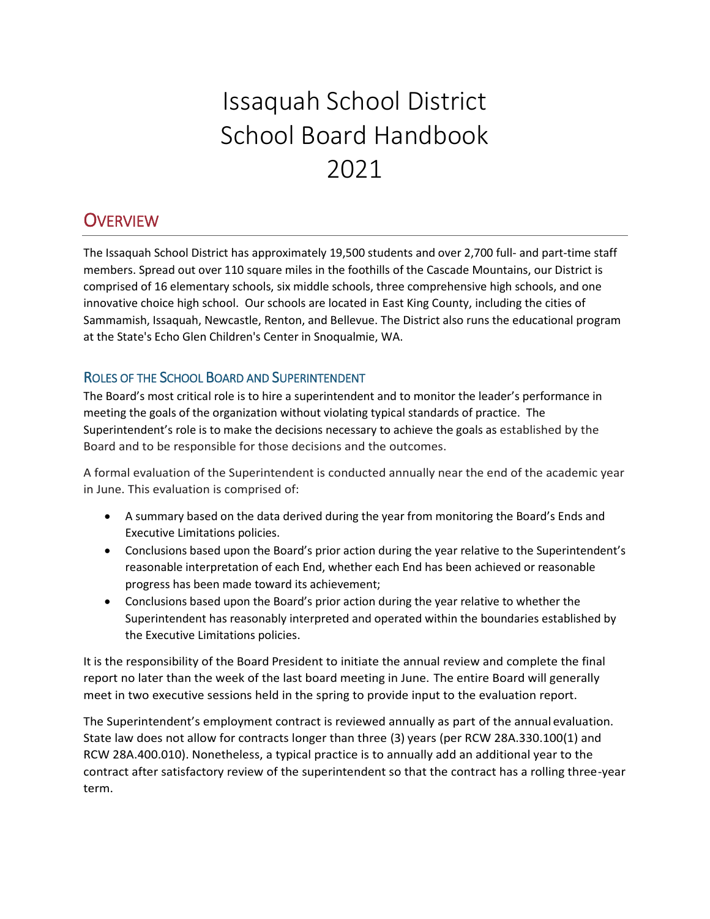# Issaquah School District School Board Handbook 2021

# **OVERVIEW**

The Issaquah School District has approximately 19,500 students and over 2,700 full- and part-time staff members. Spread out over 110 square miles in the foothills of the Cascade Mountains, our District is comprised of 16 elementary schools, six middle schools, three comprehensive high schools, and one innovative choice high school. Our schools are located in East King County, including the cities of Sammamish, Issaquah, Newcastle, Renton, and Bellevue. The District also runs the educational program at the State's Echo Glen Children's Center in Snoqualmie, WA.

# ROLES OF THE SCHOOL BOARD AND SUPERINTENDENT

The Board's most critical role is to hire a superintendent and to monitor the leader's performance in meeting the goals of the organization without violating typical standards of practice. The Superintendent's role is to make the decisions necessary to achieve the goals as established by the Board and to be responsible for those decisions and the outcomes.

A formal evaluation of the Superintendent is conducted annually near the end of the academic year in June. This evaluation is comprised of:

- A summary based on the data derived during the year from monitoring the Board's Ends and Executive Limitations policies.
- Conclusions based upon the Board's prior action during the year relative to the Superintendent's reasonable interpretation of each End, whether each End has been achieved or reasonable progress has been made toward its achievement;
- Conclusions based upon the Board's prior action during the year relative to whether the Superintendent has reasonably interpreted and operated within the boundaries established by the Executive Limitations policies.

It is the responsibility of the Board President to initiate the annual review and complete the final report no later than the week of the last board meeting in June. The entire Board will generally meet in two executive sessions held in the spring to provide input to the evaluation report.

The Superintendent's employment contract is reviewed annually as part of the annual evaluation. State law does not allow for contracts longer than three (3) years (per RCW 28A.330.100(1) and RCW 28A.400.010). Nonetheless, a typical practice is to annually add an additional year to the contract after satisfactory review of the superintendent so that the contract has a rolling three-year term.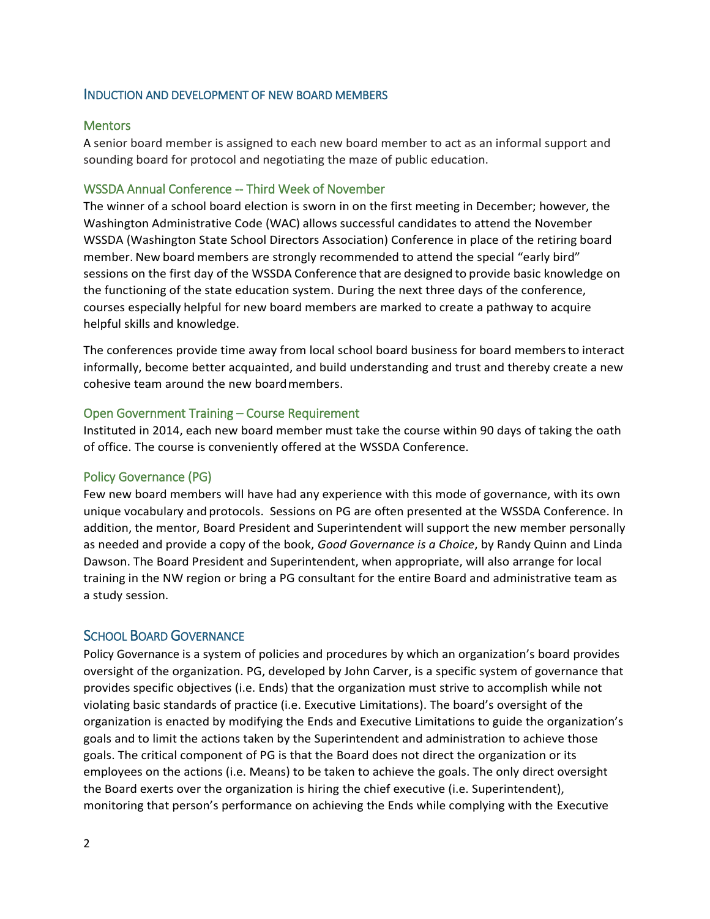#### INDUCTION AND DEVELOPMENT OF NEW BOARD MEMBERS

#### **Mentors**

A senior board member is assigned to each new board member to act as an informal support and sounding board for protocol and negotiating the maze of public education.

#### WSSDA Annual Conference -- Third Week of November

The winner of a school board election is sworn in on the first meeting in December; however, the Washington Administrative Code (WAC) allows successful candidates to attend the November WSSDA (Washington State School Directors Association) Conference in place of the retiring board member. New board members are strongly recommended to attend the special "early bird" sessions on the first day of the WSSDA Conference that are designed to provide basic knowledge on the functioning of the state education system. During the next three days of the conference, courses especially helpful for new board members are marked to create a pathway to acquire helpful skills and knowledge.

The conferences provide time away from local school board business for board membersto interact informally, become better acquainted, and build understanding and trust and thereby create a new cohesive team around the new boardmembers.

#### Open Government Training – Course Requirement

Instituted in 2014, each new board member must take the course within 90 days of taking the oath of office. The course is conveniently offered at the WSSDA Conference.

#### Policy Governance (PG)

Few new board members will have had any experience with this mode of governance, with its own unique vocabulary and protocols. Sessions on PG are often presented at the WSSDA Conference. In addition, the mentor, Board President and Superintendent will support the new member personally as needed and provide a copy of the book, *Good Governance is a Choice*, by Randy Quinn and Linda Dawson. The Board President and Superintendent, when appropriate, will also arrange for local training in the NW region or bring a PG consultant for the entire Board and administrative team as a study session.

#### SCHOOL BOARD GOVERNANCE

Policy Governance is a system of policies and procedures by which an organization's board provides oversight of the organization. PG, developed by John Carver, is a specific system of governance that provides specific objectives (i.e. Ends) that the organization must strive to accomplish while not violating basic standards of practice (i.e. Executive Limitations). The board's oversight of the organization is enacted by modifying the Ends and Executive Limitations to guide the organization's goals and to limit the actions taken by the Superintendent and administration to achieve those goals. The critical component of PG is that the Board does not direct the organization or its employees on the actions (i.e. Means) to be taken to achieve the goals. The only direct oversight the Board exerts over the organization is hiring the chief executive (i.e. Superintendent), monitoring that person's performance on achieving the Ends while complying with the Executive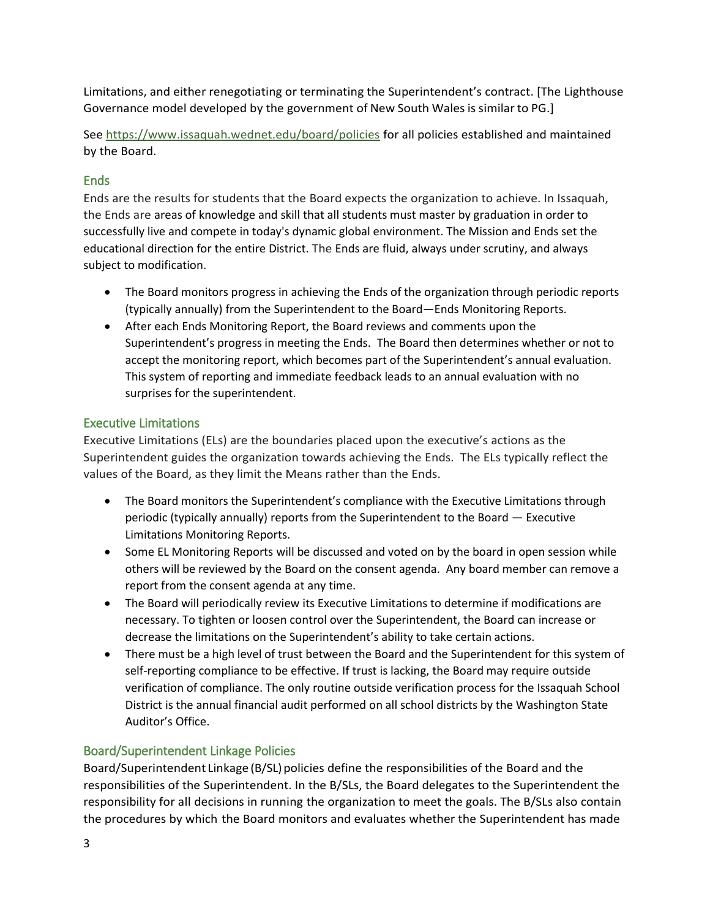Limitations, and either renegotiating or terminating the Superintendent's contract. [The Lighthouse Governance model developed by the government of New South Wales is similar to PG.]

See<https://www.issaquah.wednet.edu/board/policies> for all policies established and maintained by the Board.

# Ends

Ends are the results for students that the Board expects the organization to achieve. In Issaquah, the Ends are areas of knowledge and skill that all students must master by graduation in order to successfully live and compete in today's dynamic global environment. The Mission and Ends set the educational direction for the entire District. The Ends are fluid, always under scrutiny, and always subject to modification.

- The Board monitors progress in achieving the Ends of the organization through periodic reports (typically annually) from the Superintendent to the Board—Ends Monitoring Reports.
- After each Ends Monitoring Report, the Board reviews and comments upon the Superintendent's progress in meeting the Ends. The Board then determines whether or not to accept the monitoring report, which becomes part of the Superintendent's annual evaluation. This system of reporting and immediate feedback leads to an annual evaluation with no surprises for the superintendent.

# Executive Limitations

Executive Limitations (ELs) are the boundaries placed upon the executive's actions as the Superintendent guides the organization towards achieving the Ends. The ELs typically reflect the values of the Board, as they limit the Means rather than the Ends.

- The Board monitors the Superintendent's compliance with the Executive Limitations through periodic (typically annually) reports from the Superintendent to the Board — Executive Limitations Monitoring Reports.
- Some EL Monitoring Reports will be discussed and voted on by the board in open session while others will be reviewed by the Board on the consent agenda. Any board member can remove a report from the consent agenda at any time.
- The Board will periodically review its Executive Limitations to determine if modifications are necessary. To tighten or loosen control over the Superintendent, the Board can increase or decrease the limitations on the Superintendent's ability to take certain actions.
- There must be a high level of trust between the Board and the Superintendent for this system of self-reporting compliance to be effective. If trust is lacking, the Board may require outside verification of compliance. The only routine outside verification process for the Issaquah School District is the annual financial audit performed on all school districts by the Washington State Auditor's Office.

# Board/Superintendent Linkage Policies

Board/Superintendent Linkage (B/SL) policies define the responsibilities of the Board and the responsibilities of the Superintendent. In the B/SLs, the Board delegates to the Superintendent the responsibility for all decisions in running the organization to meet the goals. The B/SLs also contain the procedures by which the Board monitors and evaluates whether the Superintendent has made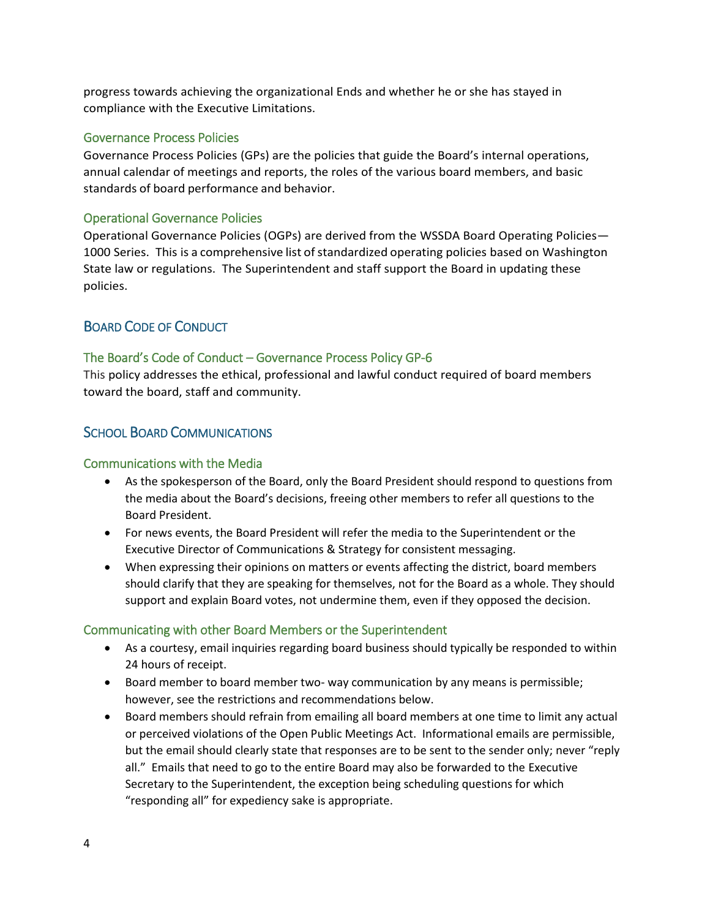progress towards achieving the organizational Ends and whether he or she has stayed in compliance with the Executive Limitations.

#### Governance Process Policies

Governance Process Policies (GPs) are the policies that guide the Board's internal operations, annual calendar of meetings and reports, the roles of the various board members, and basic standards of board performance and behavior.

#### Operational Governance Policies

Operational Governance Policies (OGPs) are derived from the WSSDA Board Operating Policies— 1000 Series. This is a comprehensive list of standardized operating policies based on Washington State law or regulations. The Superintendent and staff support the Board in updating these policies.

### BOARD CODE OF CONDUCT

#### The Board's Code of Conduct – Governance Process Policy GP-6

This policy addresses the ethical, professional and lawful conduct required of board members toward the board, staff and community.

### SCHOOL BOARD COMMUNICATIONS

#### Communications with the Media

- As the spokesperson of the Board, only the Board President should respond to questions from the media about the Board's decisions, freeing other members to refer all questions to the Board President.
- For news events, the Board President will refer the media to the Superintendent or the Executive Director of Communications & Strategy for consistent messaging.
- When expressing their opinions on matters or events affecting the district, board members should clarify that they are speaking for themselves, not for the Board as a whole. They should support and explain Board votes, not undermine them, even if they opposed the decision.

#### Communicating with other Board Members or the Superintendent

- As a courtesy, email inquiries regarding board business should typically be responded to within 24 hours of receipt.
- Board member to board member two- way communication by any means is permissible; however, see the restrictions and recommendations below.
- Board members should refrain from emailing all board members at one time to limit any actual or perceived violations of the Open Public Meetings Act. Informational emails are permissible, but the email should clearly state that responses are to be sent to the sender only; never "reply all." Emails that need to go to the entire Board may also be forwarded to the Executive Secretary to the Superintendent, the exception being scheduling questions for which "responding all" for expediency sake is appropriate.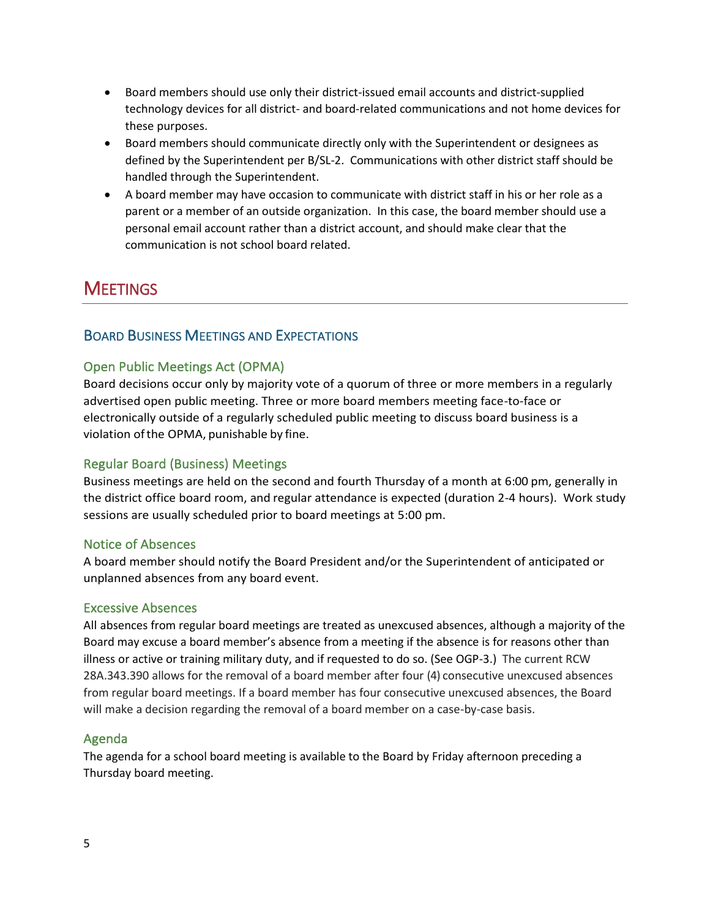- Board members should use only their district-issued email accounts and district-supplied technology devices for all district- and board-related communications and not home devices for these purposes.
- Board members should communicate directly only with the Superintendent or designees as defined by the Superintendent per B/SL-2. Communications with other district staff should be handled through the Superintendent.
- A board member may have occasion to communicate with district staff in his or her role as a parent or a member of an outside organization. In this case, the board member should use a personal email account rather than a district account, and should make clear that the communication is not school board related.

# **MEETINGS**

# BOARD BUSINESS MEETINGS AND EXPECTATIONS

### Open Public Meetings Act (OPMA)

Board decisions occur only by majority vote of a quorum of three or more members in a regularly advertised open public meeting. Three or more board members meeting face-to-face or electronically outside of a regularly scheduled public meeting to discuss board business is a violation ofthe OPMA, punishable by fine.

### Regular Board (Business) Meetings

Business meetings are held on the second and fourth Thursday of a month at 6:00 pm, generally in the district office board room, and regular attendance is expected (duration 2-4 hours). Work study sessions are usually scheduled prior to board meetings at 5:00 pm.

#### Notice of Absences

A board member should notify the Board President and/or the Superintendent of anticipated or unplanned absences from any board event.

#### Excessive Absences

All absences from regular board meetings are treated as unexcused absences, although a majority of the Board may excuse a board member's absence from a meeting if the absence is for reasons other than illness or active or training military duty, and if requested to do so. (See OGP-3.) The current RCW 28A.343.390 allows for the removal of a board member after four (4) consecutive unexcused absences from regular board meetings. If a board member has four consecutive unexcused absences, the Board will make a decision regarding the removal of a board member on a case-by-case basis.

#### Agenda

The agenda for a school board meeting is available to the Board by Friday afternoon preceding a Thursday board meeting.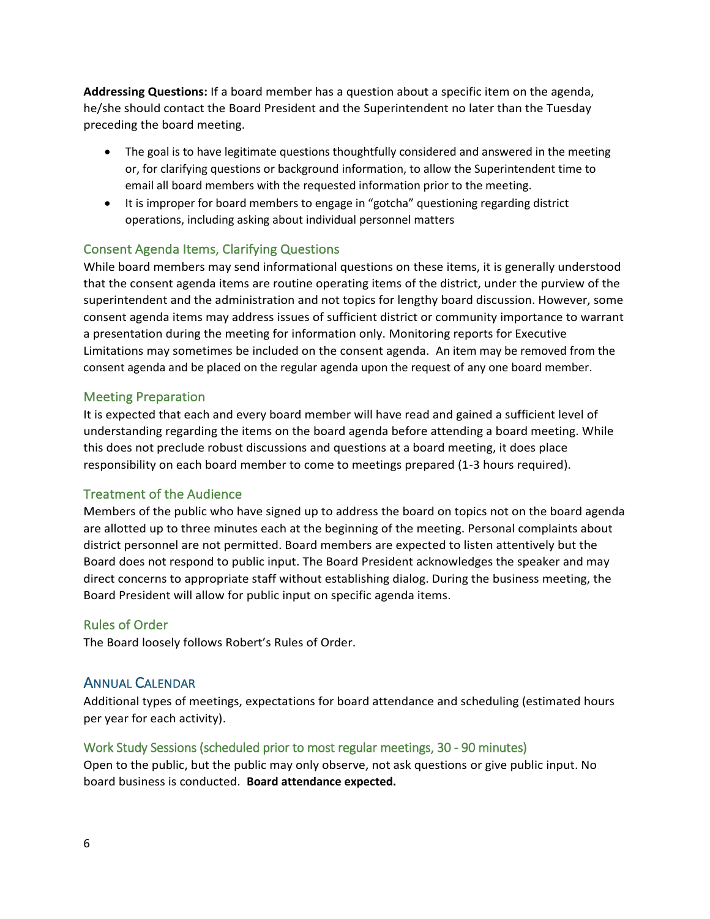**Addressing Questions:** If a board member has a question about a specific item on the agenda, he/she should contact the Board President and the Superintendent no later than the Tuesday preceding the board meeting.

- The goal is to have legitimate questions thoughtfully considered and answered in the meeting or, for clarifying questions or background information, to allow the Superintendent time to email all board members with the requested information prior to the meeting.
- It is improper for board members to engage in "gotcha" questioning regarding district operations, including asking about individual personnel matters

### Consent Agenda Items, Clarifying Questions

While board members may send informational questions on these items, it is generally understood that the consent agenda items are routine operating items of the district, under the purview of the superintendent and the administration and not topics for lengthy board discussion. However, some consent agenda items may address issues of sufficient district or community importance to warrant a presentation during the meeting for information only. Monitoring reports for Executive Limitations may sometimes be included on the consent agenda. An item may be removed from the consent agenda and be placed on the regular agenda upon the request of any one board member.

#### Meeting Preparation

It is expected that each and every board member will have read and gained a sufficient level of understanding regarding the items on the board agenda before attending a board meeting. While this does not preclude robust discussions and questions at a board meeting, it does place responsibility on each board member to come to meetings prepared (1-3 hours required).

#### Treatment of the Audience

Members of the public who have signed up to address the board on topics not on the board agenda are allotted up to three minutes each at the beginning of the meeting. Personal complaints about district personnel are not permitted. Board members are expected to listen attentively but the Board does not respond to public input. The Board President acknowledges the speaker and may direct concerns to appropriate staff without establishing dialog. During the business meeting, the Board President will allow for public input on specific agenda items.

#### Rules of Order

The Board loosely follows Robert's Rules of Order.

#### ANNUAL CALENDAR

Additional types of meetings, expectations for board attendance and scheduling (estimated hours per year for each activity).

#### Work Study Sessions (scheduled prior to most regular meetings, 30 - 90 minutes)

Open to the public, but the public may only observe, not ask questions or give public input. No board business is conducted. **Board attendance expected.**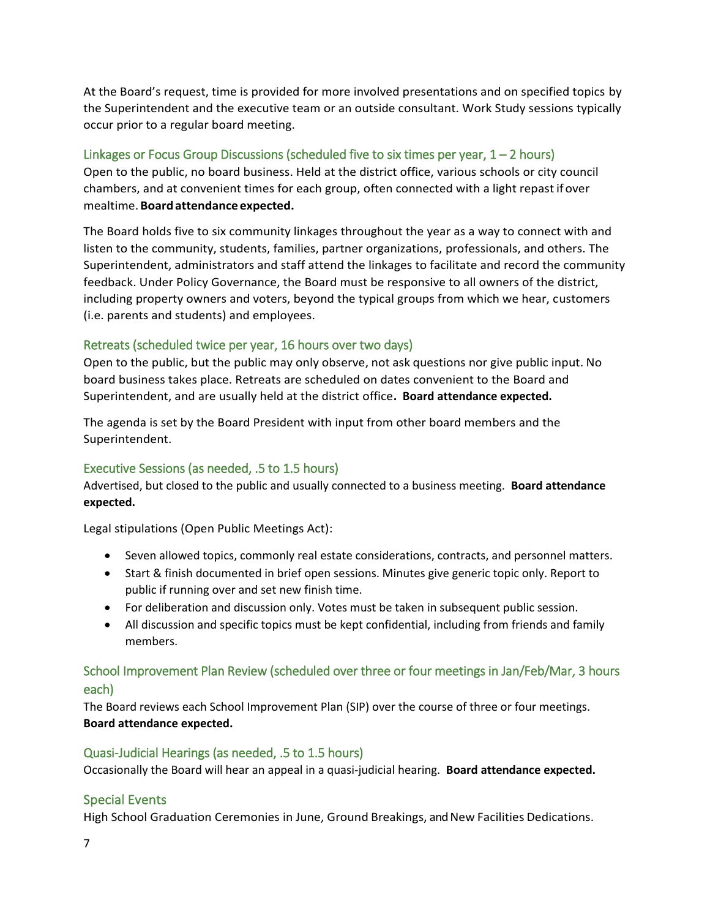At the Board's request, time is provided for more involved presentations and on specified topics by the Superintendent and the executive team or an outside consultant. Work Study sessions typically occur prior to a regular board meeting.

### Linkages or Focus Group Discussions (scheduled five to six times per year,  $1 - 2$  hours)

Open to the public, no board business. Held at the district office, various schools or city council chambers, and at convenient times for each group, often connected with a light repastif over mealtime.**Boardattendance expected.**

The Board holds five to six community linkages throughout the year as a way to connect with and listen to the community, students, families, partner organizations, professionals, and others. The Superintendent, administrators and staff attend the linkages to facilitate and record the community feedback. Under Policy Governance, the Board must be responsive to all owners of the district, including property owners and voters, beyond the typical groups from which we hear, customers (i.e. parents and students) and employees.

### Retreats (scheduled twice per year, 16 hours over two days)

Open to the public, but the public may only observe, not ask questions nor give public input. No board business takes place. Retreats are scheduled on dates convenient to the Board and Superintendent, and are usually held at the district office**. Board attendance expected.**

The agenda is set by the Board President with input from other board members and the Superintendent.

# Executive Sessions (as needed, .5 to 1.5 hours)

Advertised, but closed to the public and usually connected to a business meeting. **Board attendance expected.**

Legal stipulations (Open Public Meetings Act):

- Seven allowed topics, commonly real estate considerations, contracts, and personnel matters.
- Start & finish documented in brief open sessions. Minutes give generic topic only. Report to public if running over and set new finish time.
- For deliberation and discussion only. Votes must be taken in subsequent public session.
- All discussion and specific topics must be kept confidential, including from friends and family members.

# School Improvement Plan Review (scheduled over three or four meetings in Jan/Feb/Mar, 3 hours each)

The Board reviews each School Improvement Plan (SIP) over the course of three or four meetings. **Board attendance expected.**

#### Quasi-Judicial Hearings (as needed, .5 to 1.5 hours)

Occasionally the Board will hear an appeal in a quasi-judicial hearing. **Board attendance expected.**

# Special Events

High School Graduation Ceremonies in June, Ground Breakings, and New Facilities Dedications.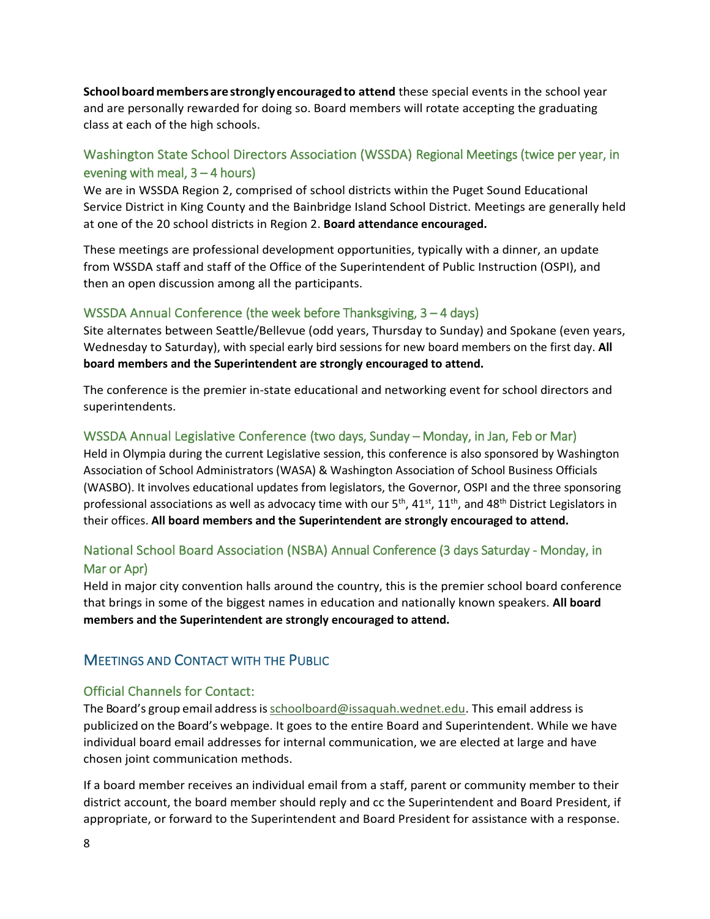**Schoolboardmembersarestrongly encouragedto attend** these special events in the school year and are personally rewarded for doing so. Board members will rotate accepting the graduating class at each of the high schools.

# Washington State School Directors Association (WSSDA) Regional Meetings (twice per year, in evening with meal,  $3 - 4$  hours)

We are in WSSDA Region 2, comprised of school districts within the Puget Sound Educational Service District in King County and the Bainbridge Island School District. Meetings are generally held at one of the 20 school districts in Region 2. **Board attendance encouraged.**

These meetings are professional development opportunities, typically with a dinner, an update from WSSDA staff and staff of the Office of the Superintendent of Public Instruction (OSPI), and then an open discussion among all the participants.

#### WSSDA Annual Conference (the week before Thanksgiving, 3 – 4 days)

Site alternates between Seattle/Bellevue (odd years, Thursday to Sunday) and Spokane (even years, Wednesday to Saturday), with special early bird sessions for new board members on the first day. **All board members and the Superintendent are strongly encouraged to attend.**

The conference is the premier in-state educational and networking event for school directors and superintendents.

### WSSDA Annual Legislative Conference (two days, Sunday – Monday, in Jan, Feb or Mar)

Held in Olympia during the current Legislative session, this conference is also sponsored by Washington Association of School Administrators (WASA) & Washington Association of School Business Officials (WASBO). It involves educational updates from legislators, the Governor, OSPI and the three sponsoring professional associations as well as advocacy time with our 5<sup>th</sup>, 41<sup>st</sup>, 11<sup>th</sup>, and 48<sup>th</sup> District Legislators in their offices. **All board members and the Superintendent are strongly encouraged to attend.**

# National School Board Association (NSBA) Annual Conference (3 days Saturday - Monday, in Mar or Apr)

Held in major city convention halls around the country, this is the premier school board conference that brings in some of the biggest names in education and nationally known speakers. **All board members and the Superintendent are strongly encouraged to attend.**

# MEETINGS AND CONTACT WITH THE PUBLIC

# Official Channels for Contact:

The Board's group email addressi[sschoolboard@issaquah.wednet.edu.](mailto:schoolboard@issaquah.wednet.edu) This email address is publicized on the Board's webpage. It goes to the entire Board and Superintendent. While we have individual board email addresses for internal communication, we are elected at large and have chosen joint communication methods.

If a board member receives an individual email from a staff, parent or community member to their district account, the board member should reply and cc the Superintendent and Board President, if appropriate, or forward to the Superintendent and Board President for assistance with a response.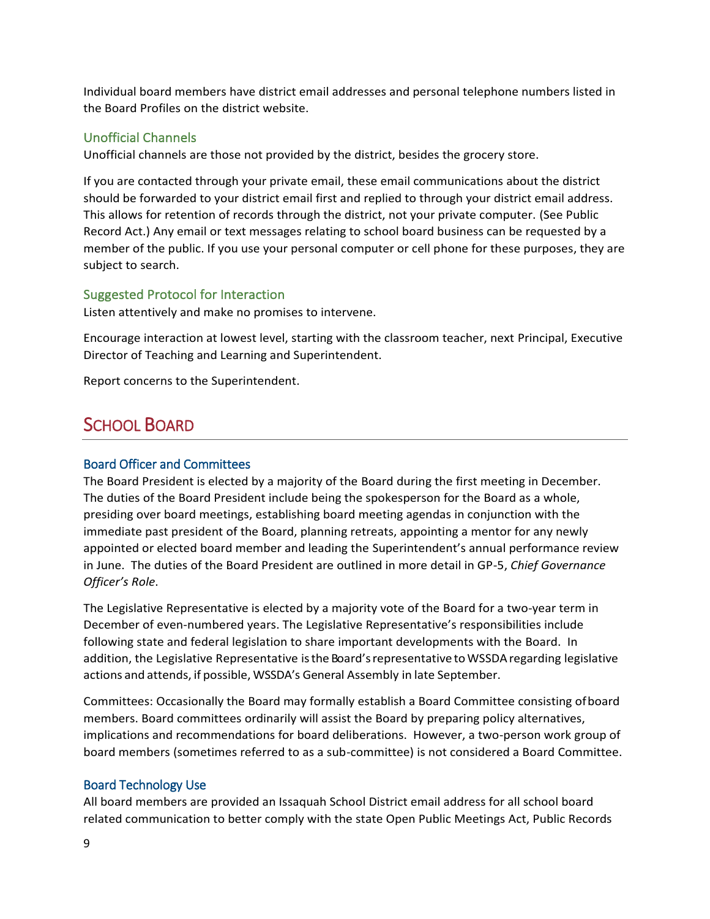Individual board members have district email addresses and personal telephone numbers listed in the Board Profiles on the district website.

### Unofficial Channels

Unofficial channels are those not provided by the district, besides the grocery store.

If you are contacted through your private email, these email communications about the district should be forwarded to your district email first and replied to through your district email address. This allows for retention of records through the district, not your private computer. (See Public Record Act.) Any email or text messages relating to school board business can be requested by a member of the public. If you use your personal computer or cell phone for these purposes, they are subject to search.

#### Suggested Protocol for Interaction

Listen attentively and make no promises to intervene.

Encourage interaction at lowest level, starting with the classroom teacher, next Principal, Executive Director of Teaching and Learning and Superintendent.

Report concerns to the Superintendent.

# SCHOOL BOARD

#### Board Officer and Committees

The Board President is elected by a majority of the Board during the first meeting in December. The duties of the Board President include being the spokesperson for the Board as a whole, presiding over board meetings, establishing board meeting agendas in conjunction with the immediate past president of the Board, planning retreats, appointing a mentor for any newly appointed or elected board member and leading the Superintendent's annual performance review in June. The duties of the Board President are outlined in more detail in GP-5, *Chief Governance Officer's Role*.

The Legislative Representative is elected by a majority vote of the Board for a two-year term in December of even-numbered years. The Legislative Representative's responsibilities include following state and federal legislation to share important developments with the Board. In addition, the Legislative Representative isthe Board'srepresentative toWSSDAregarding legislative actions and attends, if possible, WSSDA's General Assembly in late September.

Committees: Occasionally the Board may formally establish a Board Committee consisting ofboard members. Board committees ordinarily will assist the Board by preparing policy alternatives, implications and recommendations for board deliberations. However, a two-person work group of board members (sometimes referred to as a sub-committee) is not considered a Board Committee.

#### Board Technology Use

All board members are provided an Issaquah School District email address for all school board related communication to better comply with the state Open Public Meetings Act, Public Records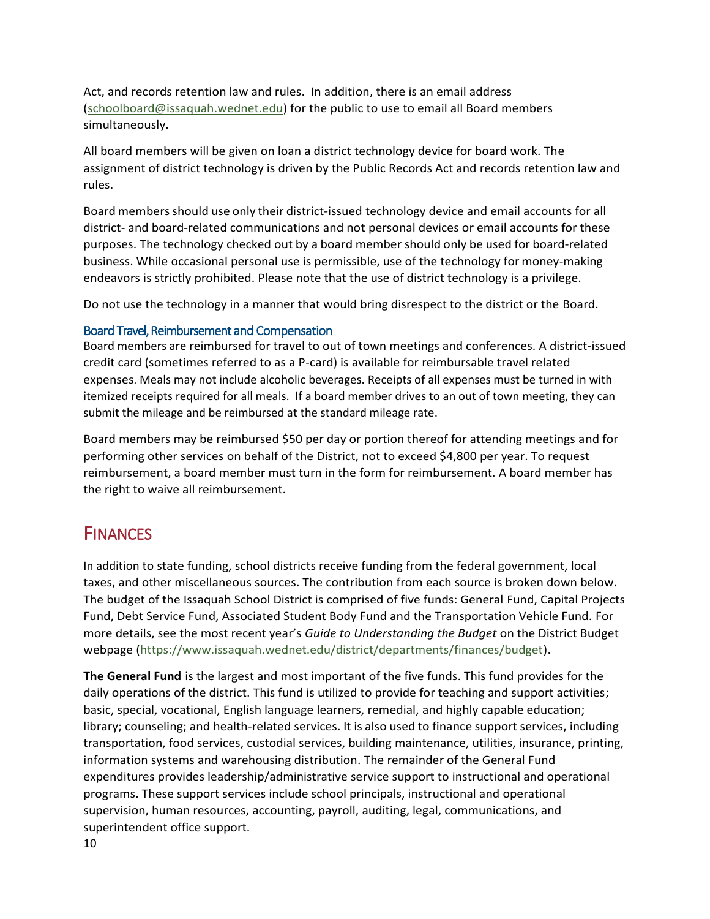Act, and records retention law and rules. In addition, there is an email address [\(schoolboard@issaquah.wednet.edu\)](mailto:schoolboard@issaquah.wednet.edu) for the public to use to email all Board members simultaneously.

All board members will be given on loan a district technology device for board work. The assignment of district technology is driven by the Public Records Act and records retention law and rules.

Board membersshould use only their district-issued technology device and email accounts for all district- and board-related communications and not personal devices or email accounts for these purposes. The technology checked out by a board member should only be used for board-related business. While occasional personal use is permissible, use of the technology for money-making endeavors is strictly prohibited. Please note that the use of district technology is a privilege.

Do not use the technology in a manner that would bring disrespect to the district or the Board.

#### Board Travel, Reimbursement and Compensation

Board members are reimbursed for travel to out of town meetings and conferences. A district-issued credit card (sometimes referred to as a P-card) is available for reimbursable travel related expenses. Meals may not include alcoholic beverages. Receipts of all expenses must be turned in with itemized receipts required for all meals. If a board member drives to an out of town meeting, they can submit the mileage and be reimbursed at the standard mileage rate.

Board members may be reimbursed \$50 per day or portion thereof for attending meetings and for performing other services on behalf of the District, not to exceed \$4,800 per year. To request reimbursement, a board member must turn in the form for reimbursement. A board member has the right to waive all reimbursement.

# **FINANCES**

In addition to state funding, school districts receive funding from the federal government, local taxes, and other miscellaneous sources. The contribution from each source is broken down below. The budget of the Issaquah School District is comprised of five funds: General Fund, Capital Projects Fund, Debt Service Fund, Associated Student Body Fund and the Transportation Vehicle Fund. For more details, see the most recent year's *Guide to Understanding the Budget* on the District Budget webpage [\(https://www.issaquah.wednet.edu/district/departments/finances/budget\)](https://www.issaquah.wednet.edu/district/departments/finances/budget).

**The General Fund** is the largest and most important of the five funds. This fund provides for the daily operations of the district. This fund is utilized to provide for teaching and support activities; basic, special, vocational, English language learners, remedial, and highly capable education; library; counseling; and health-related services. It is also used to finance support services, including transportation, food services, custodial services, building maintenance, utilities, insurance, printing, information systems and warehousing distribution. The remainder of the General Fund expenditures provides leadership/administrative service support to instructional and operational programs. These support services include school principals, instructional and operational supervision, human resources, accounting, payroll, auditing, legal, communications, and superintendent office support.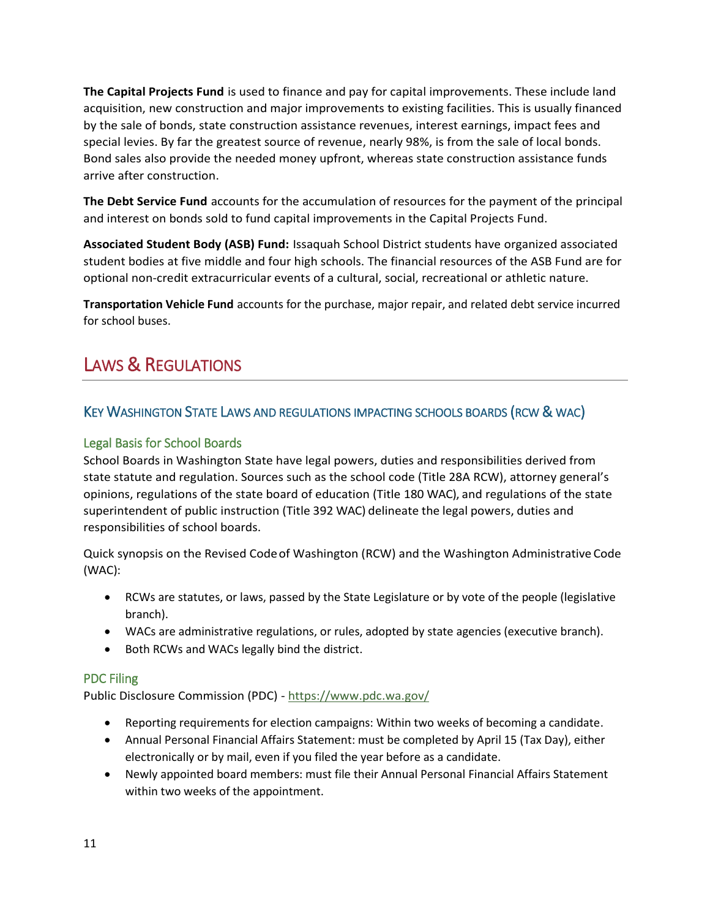**The Capital Projects Fund** is used to finance and pay for capital improvements. These include land acquisition, new construction and major improvements to existing facilities. This is usually financed by the sale of bonds, state construction assistance revenues, interest earnings, impact fees and special levies. By far the greatest source of revenue, nearly 98%, is from the sale of local bonds. Bond sales also provide the needed money upfront, whereas state construction assistance funds arrive after construction.

**The Debt Service Fund** accounts for the accumulation of resources for the payment of the principal and interest on bonds sold to fund capital improvements in the Capital Projects Fund.

**Associated Student Body (ASB) Fund:** Issaquah School District students have organized associated student bodies at five middle and four high schools. The financial resources of the ASB Fund are for optional non-credit extracurricular events of a cultural, social, recreational or athletic nature.

**Transportation Vehicle Fund** accounts for the purchase, major repair, and related debt service incurred for school buses.

# LAWS & REGULATIONS

# KEY WASHINGTON STATE LAWS AND REGULATIONS IMPACTING SCHOOLS BOARDS (RCW & WAC)

### Legal Basis for School Boards

School Boards in Washington State have legal powers, duties and responsibilities derived from state statute and regulation. Sources such as the school code (Title 28A RCW), attorney general's opinions, regulations of the state board of education (Title 180 WAC), and regulations of the state superintendent of public instruction (Title 392 WAC) delineate the legal powers, duties and responsibilities of school boards.

Quick synopsis on the Revised Codeof Washington (RCW) and the Washington Administrative Code (WAC):

- RCWs are statutes, or laws, passed by the State Legislature or by vote of the people (legislative branch).
- WACs are administrative regulations, or rules, adopted by state agencies (executive branch).
- Both RCWs and WACs legally bind the district.

#### PDC Filing

Public Disclosure Commission (PDC) - <https://www.pdc.wa.gov/>

- Reporting requirements for election campaigns: Within two weeks of becoming a candidate.
- Annual Personal Financial Affairs Statement: must be completed by April 15 (Tax Day), either electronically or by mail, even if you filed the year before as a candidate.
- Newly appointed board members: must file their Annual Personal Financial Affairs Statement within two weeks of the appointment.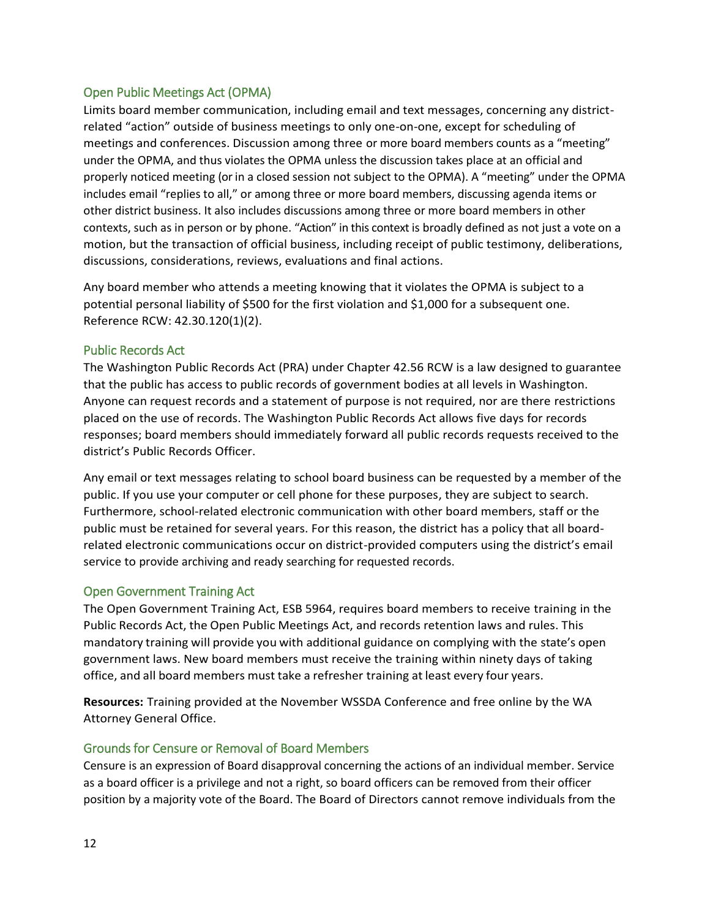#### Open Public Meetings Act (OPMA)

Limits board member communication, including email and text messages, concerning any districtrelated "action" outside of business meetings to only one-on-one, except for scheduling of meetings and conferences. Discussion among three or more board members counts as a "meeting" under the OPMA, and thus violates the OPMA unless the discussion takes place at an official and properly noticed meeting (or in a closed session not subject to the OPMA). A "meeting" under the OPMA includes email "replies to all," or among three or more board members, discussing agenda items or other district business. It also includes discussions among three or more board members in other contexts, such as in person or by phone. "Action" in this context is broadly defined as not just a vote on a motion, but the transaction of official business, including receipt of public testimony, deliberations, discussions, considerations, reviews, evaluations and final actions.

Any board member who attends a meeting knowing that it violates the OPMA is subject to a potential personal liability of \$500 for the first violation and \$1,000 for a subsequent one. Reference RCW: 42.30.120(1)(2).

#### Public Records Act

The Washington Public Records Act (PRA) under Chapter 42.56 RCW is a law designed to guarantee that the public has access to public records of government bodies at all levels in Washington. Anyone can request records and a statement of purpose is not required, nor are there restrictions placed on the use of records. The Washington Public Records Act allows five days for records responses; board members should immediately forward all public records requests received to the district's Public Records Officer.

Any email or text messages relating to school board business can be requested by a member of the public. If you use your computer or cell phone for these purposes, they are subject to search. Furthermore, school-related electronic communication with other board members, staff or the public must be retained for several years. For this reason, the district has a policy that all boardrelated electronic communications occur on district-provided computers using the district's email service to provide archiving and ready searching for requested records.

#### Open Government Training Act

The Open Government Training Act, ESB 5964, requires board members to receive training in the Public Records Act, the Open Public Meetings Act, and records retention laws and rules. This mandatory training will provide you with additional guidance on complying with the state's open government laws. New board members must receive the training within ninety days of taking office, and all board members must take a refresher training at least every four years.

**Resources:** Training provided at the November WSSDA Conference and free online by the WA Attorney General Office.

#### Grounds for Censure or Removal of Board Members

Censure is an expression of Board disapproval concerning the actions of an individual member. Service as a board officer is a privilege and not a right, so board officers can be removed from their officer position by a majority vote of the Board. The Board of Directors cannot remove individuals from the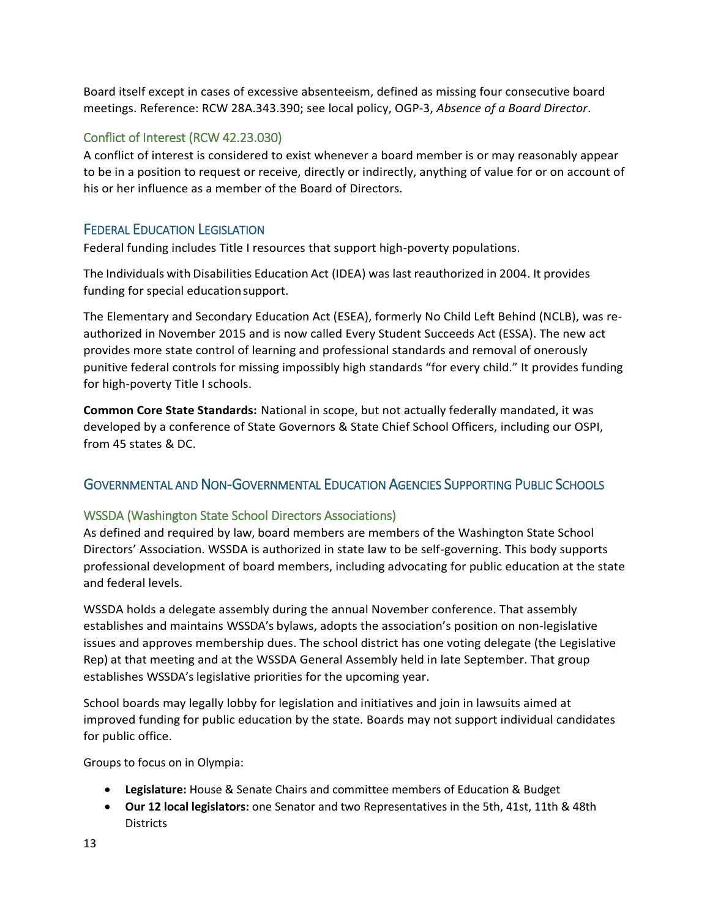Board itself except in cases of excessive absenteeism, defined as missing four consecutive board meetings. Reference: RCW 28A.343.390; see local policy, OGP-3, *Absence of a Board Director*.

### Conflict of Interest (RCW 42.23.030)

A conflict of interest is considered to exist whenever a board member is or may reasonably appear to be in a position to request or receive, directly or indirectly, anything of value for or on account of his or her influence as a member of the Board of Directors.

# FEDERAL EDUCATION LEGISLATION

Federal funding includes Title I resources that support high-poverty populations.

The Individuals with Disabilities Education Act (IDEA) was last reauthorized in 2004. It provides funding for special educationsupport.

The Elementary and Secondary Education Act (ESEA), formerly No Child Left Behind (NCLB), was reauthorized in November 2015 and is now called Every Student Succeeds Act (ESSA). The new act provides more state control of learning and professional standards and removal of onerously punitive federal controls for missing impossibly high standards "for every child." It provides funding for high-poverty Title I schools.

**Common Core State Standards:** National in scope, but not actually federally mandated, it was developed by a conference of State Governors & State Chief School Officers, including our OSPI, from 45 states & DC.

# GOVERNMENTAL AND NON-GOVERNMENTAL EDUCATION AGENCIES SUPPORTING PUBLIC SCHOOLS

# WSSDA (Washington State School Directors Associations)

As defined and required by law, board members are members of the Washington State School Directors' Association. WSSDA is authorized in state law to be self-governing. This body supports professional development of board members, including advocating for public education at the state and federal levels.

WSSDA holds a delegate assembly during the annual November conference. That assembly establishes and maintains WSSDA's bylaws, adopts the association's position on non-legislative issues and approves membership dues. The school district has one voting delegate (the Legislative Rep) at that meeting and at the WSSDA General Assembly held in late September. That group establishes WSSDA's legislative priorities for the upcoming year.

School boards may legally lobby for legislation and initiatives and join in lawsuits aimed at improved funding for public education by the state. Boards may not support individual candidates for public office.

Groups to focus on in Olympia:

- **Legislature:** House & Senate Chairs and committee members of Education & Budget
- **Our 12 local legislators:** one Senator and two Representatives in the 5th, 41st, 11th & 48th **Districts**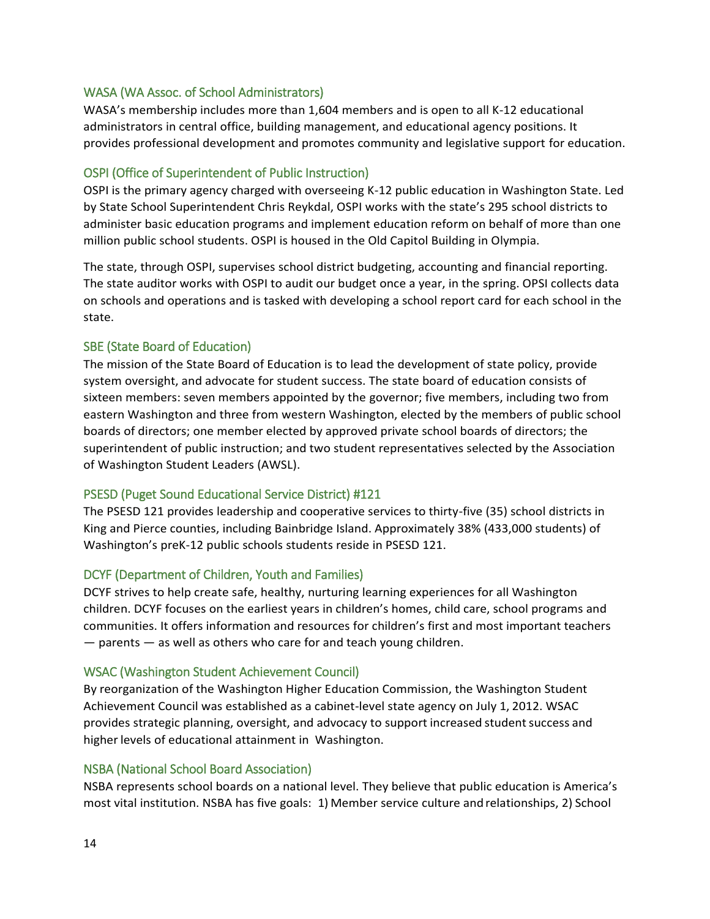#### WASA (WA Assoc. of School Administrators)

WASA's membership includes more than 1,604 members and is open to all K-12 educational administrators in central office, building management, and educational agency positions. It provides professional development and promotes community and legislative support for education.

#### OSPI (Office of Superintendent of Public Instruction)

OSPI is the primary agency charged with overseeing K-12 public education in Washington State. Led by State School Superintendent Chris Reykdal, OSPI works with the state's 295 school districts to administer basic education programs and implement education reform on behalf of more than one million public school students. OSPI is housed in the Old Capitol Building in Olympia.

The state, through OSPI, supervises school district budgeting, accounting and financial reporting. The state auditor works with OSPI to audit our budget once a year, in the spring. OPSI collects data on schools and operations and is tasked with developing a school report card for each school in the state.

#### SBE (State Board of Education)

The mission of the State Board of Education is to lead the development of state policy, provide system oversight, and advocate for student success. The state board of education consists of sixteen members: seven members appointed by the governor; five members, including two from eastern Washington and three from western Washington, elected by the members of public school boards of directors; one member elected by approved private school boards of directors; the superintendent of public instruction; and two student representatives selected by the Association of Washington Student Leaders (AWSL).

#### PSESD (Puget Sound Educational Service District) #121

The PSESD 121 provides leadership and cooperative services to thirty-five (35) school districts in King and Pierce counties, including Bainbridge Island. Approximately 38% (433,000 students) of Washington's preK-12 public schools students reside in PSESD 121.

#### DCYF (Department of Children, Youth and Families)

DCYF strives to help create safe, healthy, nurturing learning experiences for all Washington children. DCYF focuses on the earliest years in children's homes, child care, school programs and communities. It offers information and resources for children's first and most important teachers — parents — as well as others who care for and teach young children.

#### WSAC (Washington Student Achievement Council)

By reorganization of the Washington Higher Education Commission, the Washington Student Achievement Council was established as a cabinet-level state agency on July 1, 2012. WSAC provides strategic planning, oversight, and advocacy to support increased student success and higher levels of educational attainment in Washington.

#### NSBA (National School Board Association)

NSBA represents school boards on a national level. They believe that public education is America's most vital institution. NSBA has five goals: 1) Member service culture andrelationships, 2) School